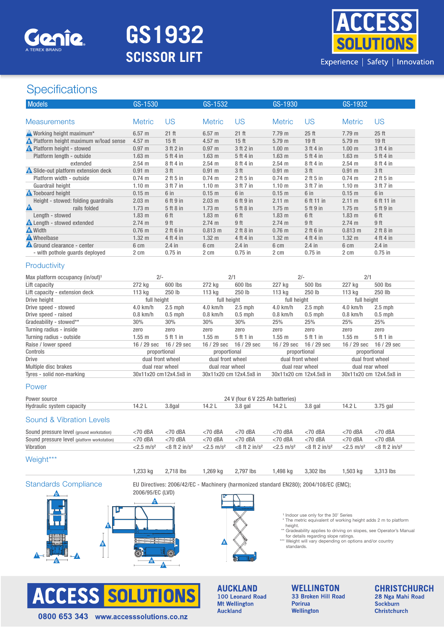

# **GS1932 SCISSOR LIFT**



## **Specifications**

| <b>Models</b>                                 | GS-1530                                                                               |                                                                                                                                                                                                                                             | GS-1532                  |                                  | GS-1930                                                                |                             | GS-1932                  |                             |
|-----------------------------------------------|---------------------------------------------------------------------------------------|---------------------------------------------------------------------------------------------------------------------------------------------------------------------------------------------------------------------------------------------|--------------------------|----------------------------------|------------------------------------------------------------------------|-----------------------------|--------------------------|-----------------------------|
|                                               |                                                                                       |                                                                                                                                                                                                                                             |                          |                                  |                                                                        |                             |                          |                             |
| <b>Measurements</b>                           | <b>Metric</b>                                                                         | US                                                                                                                                                                                                                                          | <b>Metric</b>            | <b>US</b>                        | <b>Metric</b>                                                          | <b>US</b>                   | <b>Metric</b>            | <b>US</b>                   |
| A Working height maximum*                     | $6.57$ m                                                                              | 21 ft                                                                                                                                                                                                                                       | 6.57 m                   | 21 ft                            | 7.79 m                                                                 | 25 <sub>ft</sub>            | 7.79 m                   | 25 <sub>ft</sub>            |
| <b>A</b> Platform height maximum w/load sense | 4.57 m                                                                                | 15 <sub>ft</sub>                                                                                                                                                                                                                            | 4.57 m                   | 15 <sub>ft</sub>                 | 5.79 m                                                                 | 19 ft                       | 5.79 m                   | 19 ft                       |
| <b>A</b> Platform height - stowed             | 0.97 <sub>m</sub>                                                                     | 3 ft 2 in                                                                                                                                                                                                                                   | 0.97 <sub>m</sub>        | 3 ft 2 in                        | 1.00 <sub>m</sub>                                                      | 3 ft 4 in                   | 1.00 <sub>m</sub>        | 3 ft 4 in                   |
| Platform length - outside                     | 1.63 <sub>m</sub>                                                                     | 5 ft 4 in                                                                                                                                                                                                                                   | 1.63 <sub>m</sub>        | 5 ft 4 in                        | $1.63$ m                                                               | 5 ft 4 in                   | $1.63$ m                 | 5 ft 4 in                   |
| extended                                      | $2.54$ m                                                                              | 8 ft 4 in                                                                                                                                                                                                                                   | $2.54$ m                 | 8 ft 4 in                        | $2.54$ m                                                               | 8 ft 4 in                   | $2.54$ m                 | 8 ft 4 in                   |
| Slide-out platform extension deck             | 0.91 m                                                                                | 3 <sub>ft</sub>                                                                                                                                                                                                                             | $0.91$ m                 | 3 <sub>ft</sub>                  | $0.91$ m                                                               | 3 <sub>ft</sub>             | $0.91$ m                 | 3 <sub>ft</sub>             |
| Platform width - outside                      | $0.74$ m                                                                              | $2$ ft 5 in                                                                                                                                                                                                                                 | $0.74$ m                 | $2$ ft 5 in                      | $0.74$ m                                                               | $2$ ft 5 in                 | $0.74$ m                 | $2$ ft 5 in                 |
| Guardrail height                              | 1.10 <sub>m</sub>                                                                     | 3 ft 7 in                                                                                                                                                                                                                                   | 1.10 <sub>m</sub>        | 3 ft 7 in                        | 1.10 <sub>m</sub>                                                      | 3 ft 7 in                   | 1.10 <sub>m</sub>        | 3 ft 7 in                   |
| <b>A</b> Toeboard height                      | 0.15 m                                                                                | 6 in                                                                                                                                                                                                                                        | $0.15$ m                 | 6 in                             | $0.15$ m                                                               | 6 in                        | $0.15$ m                 | 6 in                        |
| Height - stowed: folding guardrails           | 2.03 <sub>m</sub>                                                                     | 6 ft 9 in                                                                                                                                                                                                                                   | 2.03 m                   | 6 ft 9 in                        | 2.11 m                                                                 | 6 ft 11 in                  | 2.11 m                   | 6 ft 11 in                  |
| Δ<br>rails folded                             | 1.73 m                                                                                | 5 ft 8 in                                                                                                                                                                                                                                   | 1.73 <sub>m</sub>        | 5 ft 8 in                        | $1.75$ m                                                               | 5 ft 9 in                   | $1.75$ m                 | 5 ft 9 in                   |
| Length - stowed                               | 1.83 <sub>m</sub>                                                                     | 6 ft                                                                                                                                                                                                                                        | 1.83 <sub>m</sub>        | 6 ft                             | 1.83 <sub>m</sub>                                                      | 6 ft                        | 1.83 <sub>m</sub>        | 6 ft                        |
| <b>A</b> Length - stowed extended             | 2.74 m                                                                                | 9 ft                                                                                                                                                                                                                                        | 2.74 m                   | 9 ft                             | 2.74 m                                                                 | 9 ft                        | 2.74 m                   | 9 ft                        |
| <b>A</b> Width                                | $0.76$ m                                                                              | $2$ ft 6 in                                                                                                                                                                                                                                 | 0.813 m                  | $2$ ft $8$ in                    | $0.76$ m                                                               | $2$ ft 6 in                 | 0.813 m                  | $2$ ft $8$ in               |
| <b>A</b> Wheelbase                            | 1.32 <sub>m</sub>                                                                     | 4 ft 4 in                                                                                                                                                                                                                                   | 1.32 <sub>m</sub>        | 4 ft 4 in                        | 1.32 <sub>m</sub>                                                      | 4 ft 4 in                   | 1.32 <sub>m</sub>        | 4 ft 4 in                   |
| Ground clearance - center                     | 6 cm                                                                                  | $2.4$ in                                                                                                                                                                                                                                    | 6 cm                     | $2.4$ in                         | 6 cm                                                                   | $2.4$ in                    | 6 cm                     | $2.4$ in                    |
| - with pothole guards deployed                | 2 cm                                                                                  | $0.75$ in                                                                                                                                                                                                                                   | 2 cm                     | $0.75$ in                        | 2 cm                                                                   | $0.75$ in                   | 2 cm                     | $0.75$ in                   |
| Productivity                                  |                                                                                       |                                                                                                                                                                                                                                             |                          |                                  |                                                                        |                             |                          |                             |
| Max platform occupancy (in/out) <sup>1</sup>  | $2/-$                                                                                 |                                                                                                                                                                                                                                             | 2/1                      |                                  | $2/-$                                                                  |                             | 2/1                      |                             |
| Lift capacity                                 | 272 kg                                                                                | 600 lbs                                                                                                                                                                                                                                     | 272 kg                   | 600 lbs                          | 227 kg                                                                 | 500 lbs                     | 227 kg                   | 500 lbs                     |
| Lift capacity - extension deck                | 113 kg                                                                                | 250 lb                                                                                                                                                                                                                                      | 113 kg                   | 250 lb                           | 113 kg                                                                 | 250 lb                      | 113 kg                   | 250 llb                     |
| Drive height                                  | full height                                                                           |                                                                                                                                                                                                                                             | full height              |                                  | full height                                                            |                             | full height              |                             |
| Drive speed - stowed                          | 4.0 km/h                                                                              | $2.5$ mph                                                                                                                                                                                                                                   | 4.0 km/h                 | $2.5$ mph                        | 4.0 km/h                                                               | $2.5$ mph                   | 4.0 km/h                 | $2.5$ mph                   |
| Drive speed - raised                          | $0.8$ km/h                                                                            | $0.5$ mph                                                                                                                                                                                                                                   | $0.8$ km/h               | $0.5$ mph                        | $0.8$ km/h                                                             | $0.5$ mph                   | $0.8$ km/h               | $0.5$ mph                   |
| Gradeability - stowed**                       | 30%                                                                                   | 30%                                                                                                                                                                                                                                         | 30%                      | $30\%$                           | 25%                                                                    | 25%                         | 25%                      | 25%                         |
| Turning radius - inside                       | zero                                                                                  | zero                                                                                                                                                                                                                                        | zero                     | zero                             | zero                                                                   | zero                        | zero                     | zero                        |
| Turning radius - outside                      | $1.55$ m                                                                              | 5 ft 1 in                                                                                                                                                                                                                                   | $1.55$ m                 | 5 ft 1 in                        | 1.55 m                                                                 | 5 ft 1 in                   | $1.55$ m                 | 5 ft 1 in                   |
| Raise / lower speed                           | 16 / 29 sec                                                                           | 16 / 29 sec                                                                                                                                                                                                                                 | 16 / 29 sec              | 16 / 29 sec                      | 16 / 29 sec                                                            | 16 / 29 sec                 | 16 / 29 sec              | 16 / 29 sec                 |
| Controls                                      | proportional                                                                          |                                                                                                                                                                                                                                             | proportional             |                                  | proportional                                                           |                             | proportional             |                             |
| <b>Drive</b>                                  | dual front wheel                                                                      |                                                                                                                                                                                                                                             | dual front wheel         |                                  | dual front wheel                                                       |                             | dual front wheel         |                             |
| Multiple disc brakes                          | dual rear wheel                                                                       |                                                                                                                                                                                                                                             | dual rear wheel          |                                  | dual rear wheel                                                        |                             | dual rear wheel          |                             |
| Tyres - solid non-marking                     | 30x11x20 cm12x4.5x8 in                                                                |                                                                                                                                                                                                                                             | 30x11x20 cm 12x4.5x8 in  |                                  | 30x11x20 cm 12x4.5x8 in                                                |                             | 30x11x20 cm 12x4.5x8 in  |                             |
| Power                                         |                                                                                       |                                                                                                                                                                                                                                             |                          |                                  |                                                                        |                             |                          |                             |
|                                               |                                                                                       |                                                                                                                                                                                                                                             |                          |                                  |                                                                        |                             |                          |                             |
| Power source                                  |                                                                                       |                                                                                                                                                                                                                                             |                          | 24 V (four 6 V 225 Ah batteries) |                                                                        |                             |                          |                             |
| Hydraulic system capacity                     | 14.2L                                                                                 | $3.8g$ al                                                                                                                                                                                                                                   | 14.2L                    | $3.8$ gal                        | 14.2 L                                                                 | $3.8$ gal                   | 14.2L                    | 3.75 gal                    |
| <b>Sound &amp; Vibration Levels</b>           |                                                                                       |                                                                                                                                                                                                                                             |                          |                                  |                                                                        |                             |                          |                             |
| Sound pressure level (ground workstation)     | $<$ 70 dBA                                                                            | $<$ 70 dBA                                                                                                                                                                                                                                  | $<$ 70 dBA               | $<$ 70 dBA                       | $<$ 70 dBA                                                             | $<$ 70 dBA                  | $<$ 70 dBA               | $<$ 70 dBA                  |
| Sound pressure level (platform workstation)   | <70 dBA                                                                               | $<$ 70 dBA                                                                                                                                                                                                                                  | $<$ 70 dBA               | <70 dBA                          | $<$ 70 dBA                                                             | $<$ 70 dBA                  | <70 dBA                  | $<$ 70 dBA                  |
| Vibration                                     | $<$ 2.5 m/s <sup>2</sup>                                                              | $<8$ ft 2 in/ $s^2$                                                                                                                                                                                                                         | $<$ 2.5 m/s <sup>2</sup> | $<8$ ft 2 in/ $s^2$              | $<$ 2.5 m/s <sup>2</sup>                                               | $<8$ ft 2 in/s <sup>2</sup> | $<$ 2.5 m/s <sup>2</sup> | $<8$ ft 2 in/s <sup>2</sup> |
| Weight***                                     |                                                                                       |                                                                                                                                                                                                                                             |                          |                                  |                                                                        |                             |                          |                             |
|                                               |                                                                                       |                                                                                                                                                                                                                                             |                          |                                  |                                                                        |                             |                          |                             |
|                                               | 1,233 kg                                                                              | 2,718 lbs                                                                                                                                                                                                                                   | 1,269 kg                 | 2,797 lbs                        | 1,498 kg                                                               | 3,302 lbs                   | 1,503 kg                 | 3,313 lbs                   |
| <b>Standards Compliance</b>                   | EU Directives: 2006/42/EC - Machinery (harmonized standard EN280); 2004/108/EC (EMC); |                                                                                                                                                                                                                                             |                          |                                  |                                                                        |                             |                          |                             |
|                                               | 2006/95/EC (LVD)                                                                      |                                                                                                                                                                                                                                             |                          |                                  |                                                                        |                             |                          |                             |
|                                               |                                                                                       | <sup>1</sup> Indoor use only for the 30' Series<br>* The metric equivalent of working height adds 2 m to platform<br>height.<br>** Gradeability applies to driving on slopes, see Operator's Manual<br>for details regarding slope ratings. |                          |                                  |                                                                        |                             |                          |                             |
|                                               |                                                                                       |                                                                                                                                                                                                                                             |                          |                                  | *** Weight will vary depending on options and/or country<br>standards. |                             |                          |                             |



**AUCKLAND** 100 Leonard Road<br>Mt Wellington Auckland

**WELLINGTON** 33 Broken Hill Road Porirua Wellington

**CHRISTCHURCH** 28 Nga Mahi Road Sockburn **Christchurch**